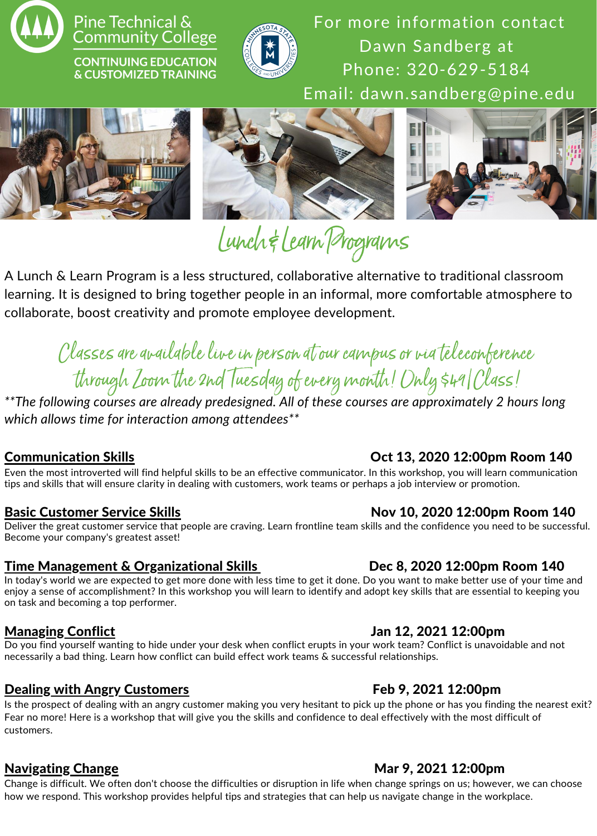

### Pine Technical & **Community College**

**CONTINUING EDUCATION** & CUSTOMIZED TRAINING



For more information contact Dawn Sandberg at Phone: 320-629-5184 Email: dawn.sandberg@pine.edu







# Lunch&LearnPrograms

A Lunch & Learn Program is a less structured, collaborative alternative to traditional classroom learning. It is designed to bring together people in an informal, more comfortable atmosphere to collaborate, boost creativity and promote employee development.

## Classes are available live in person at our campus or via teleconference through Loom the 2nd Tuesday of every month! Only \$49 Class!

*\*\*The following courses are already predesigned. All of these courses are approximately 2 hours long which allows time for interaction among attendees\*\**

Even the most introverted will find helpful skills to be an effective communicator. In this workshop, you will learn communication tips and skills that will ensure clarity in dealing with customers, work teams or perhaps a job interview or promotion.

Deliver the great customer service that people are craving. Learn frontline team skills and the confidence you need to be successful. Become your company's greatest asset!

### Time Management & Organizational Skills Dec 8, 2020 12:00pm Room 140

In today's world we are expected to get more done with less time to get it done. Do you want to make better use of your time and enjoy a sense of accomplishment? In this workshop you will learn to identify and adopt key skills that are essential to keeping you on task and becoming a top performer.

Do you find yourself wanting to hide under your desk when conflict erupts in your work team? Conflict is unavoidable and not necessarily a bad thing. Learn how conflict can build effect work teams & successful relationships.

### Dealing with Angry Customers Feb 9, 2021 12:00pm

Is the prospect of dealing with an angry customer making you very hesitant to pick up the phone or has you finding the nearest exit? Fear no more! Here is a workshop that will give you the skills and confidence to deal effectively with the most difficult of customers.

### Navigating Change Mar 9, 2021 12:00pm

Change is difficult. We often don't choose the difficulties or disruption in life when change springs on us; however, we can choose how we respond. This workshop provides helpful tips and strategies that can help us navigate change in the workplace.

### Communication Skills Oct 13, 2020 12:00pm Room 140

### Basic Customer Service Skills Nov 10, 2020 12:00pm Room 140

### Managing Conflict Jan 12, 2021 12:00pm